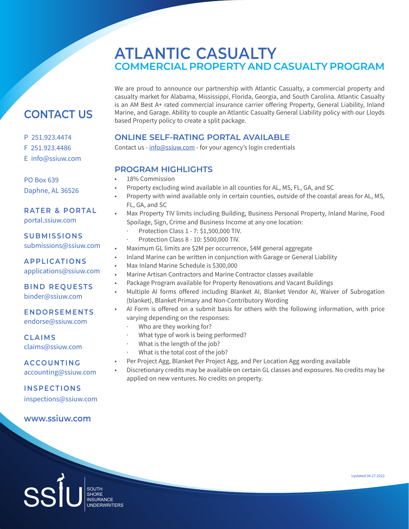We are proud to announce our partnership with Atlantic Casualty, a commercial property and casualty market for Alabama, Mississippi, Florida, Georgia, and South Carolina. Atlantic Casualty is an AM Best A+ rated commercial insurance carrier offering Property, General Liability, Inland Marine, and Garage. Ability to couple an Atlantic Casualty General Liability policy with our Lloyds based Property policy to create a split package.

## **ONLINE SELF-RATING PORTAL AVAILABLE**

Contact us - info@ssiuw.com - for your agency's login credentials

## **PROGRAM HIGHLIGHTS**

- 18% Commission
- Property excluding wind available in all counties for AL, MS, FL, GA, and SC
- Property with wind available only in certain counties, outside of the coastal areas for AL, MS, FL, GA, and SC

## • Max Property TIV limits including Building, Business Personal Property, Inland Marine, Food Spoilage, Sign, Crime and Business Income at any one location:

- · Protection Class 1 7: \$1,500,000 TIV.
- · Protection Class 8 10: \$500,000 TIV.
- Maximum GL limits are \$2M per occurrence, \$4M general aggregate
- Inland Marine can be written in conjunction with Garage or General Liability
- Max Inland Marine Schedule is \$300,000
- Marine Artisan Contractors and Marine Contractor classes available
- Package Program available for Property Renovations and Vacant Buildings
- Multiple AI forms offered including Blanket AI, Blanket Vendor AI, Waiver of Subrogation (blanket), Blanket Primary and Non-Contributory Wording
- AI Form is offered on a submit basis for others with the following information, with price varying depending on the responses:
	- Who are they working for?
	- What type of work is being performed?
	- What is the length of the job?
	- What is the total cost of the job?
- Per Project Agg, Blanket Per Project Agg, and Per Location Agg wording available
- Discretionary credits may be available on certain GL classes and exposures. No credits may be applied on new ventures. No credits on property.

# **CONTACT US**

- P 251.923.4474
- F 251.923.4486

## E info@ssiuw.com

PO Box 639 Daphne, AL 36526

## **RATER & PORTAL** portal.ssiuw.com

**SUBMISSIONS** submissions@ssiuw.com

**APPLICATIONS** applications@ssiuw.com

### **BIND REQUESTS** binder@ssiuw.com

**ENDORSEMENTS** endorse@ssiuw.com

**CLAIMS** claims@ssiuw.com

**ACCOUNTING** accounting@ssiuw.com

## **INSPECTIONS**

inspections@ssiuw.com

## **www.ssiuw.com**

SOUTH<br>
SHORE<br>
INSURA<br>
UNDER SHORE INSURANCE UNDERWRITERS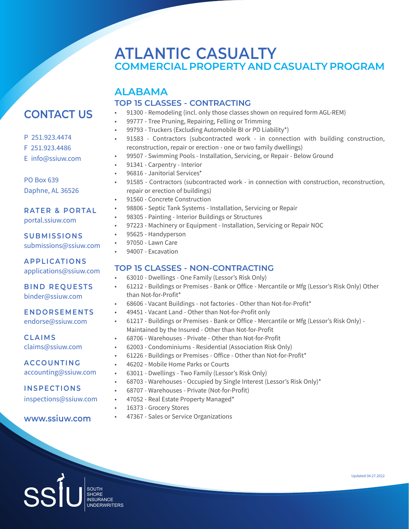## **ALABAMA TOP 15 CLASSES - CONTRACTING**

- 91300 Remodeling (incl. only those classes shown on required form AGL-REM)
- 99777 Tree Pruning, Repairing, Felling or Trimming
- 99793 Truckers (Excluding Automobile BI or PD Liability\*)
- 91583 Contractors (subcontracted work in connection with building construction, reconstruction, repair or erection - one or two family dwellings)
- 99507 Swimming Pools Installation, Servicing, or Repair Below Ground
- 91341 Carpentry Interior
- 96816 Janitorial Services\*
- 91585 Contractors (subcontracted work in connection with construction, reconstruction, repair or erection of buildings)
	- 91560 Concrete Construction
	- 98806 Septic Tank Systems Installation, Servicing or Repair
	- 98305 Painting Interior Buildings or Structures
	- 97223 Machinery or Equipment Installation, Servicing or Repair NOC
- 95625 Handyperson
- 97050 Lawn Care
- 94007 Excavation

## **TOP 15 CLASSES - NON-CONTRACTING**

- 63010 Dwellings One Family (Lessor's Risk Only)
- 61212 Buildings or Premises Bank or Office Mercantile or Mfg (Lessor's Risk Only) Other than Not-for-Profit\*
- 68606 Vacant Buildings not factories Other than Not-for-Profit\*
- 49451 Vacant Land Other than Not-for-Profit only
- 61217 Buildings or Premises Bank or Office Mercantile or Mfg (Lessor's Risk Only) Maintained by the Insured - Other than Not-for-Profit
- 68706 Warehouses Private Other than Not-for-Profit
- 62003 Condominiums Residential (Association Risk Only)
- 61226 Buildings or Premises Office Other than Not-for-Profit\*
- 46202 Mobile Home Parks or Courts
- 63011 Dwellings Two Family (Lessor's Risk Only)
- 68703 Warehouses Occupied by Single Interest (Lessor's Risk Only)\*
- 68707 Warehouses Private (Not-for-Profit)
- 47052 Real Estate Property Managed\*
- 16373 Grocery Stores
- **www.ssiuw.com** • 47367 - Sales or Service Organizations

# **CONTACT US**

- P 251.923.4474
- F 251.923.4486
- E info@ssiuw.com

PO Box 639 Daphne, AL 36526

**RATER & PORTAL** portal.ssiuw.com

**SUBMISSIONS** submissions@ssiuw.com

**APPLICATIONS** applications@ssiuw.com

**BIND REQUESTS** binder@ssiuw.com

## **ENDORSEMENTS**

endorse@ssiuw.com

**CLAIMS** claims@ssiuw.com

accounting@ssiuw.com

**INSPECTIONS**

inspections@ssiuw.com

Updated 04.27.2022

UNDERWRITERS

SOUTH<br>
SHORE<br>
INSURA<br>
UNDER SHORE INSURANCE

**ACCOUNTING**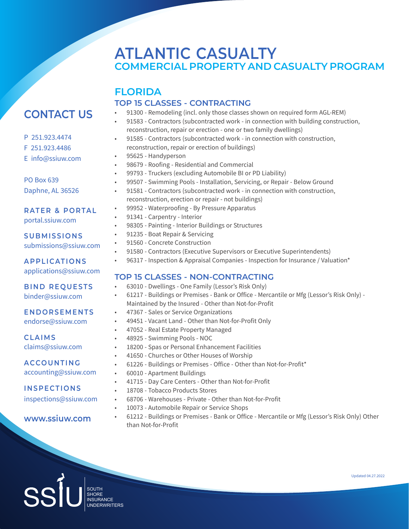## **FLORIDA TOP 15 CLASSES - CONTRACTING**

## • 91300 - Remodeling (incl. only those classes shown on required form AGL-REM)

- 91583 Contractors (subcontracted work in connection with building construction, reconstruction, repair or erection - one or two family dwellings)
- 91585 Contractors (subcontracted work in connection with construction, reconstruction, repair or erection of buildings)
- 95625 Handyperson
- 98679 Roofing Residential and Commercial
- 99793 Truckers (excluding Automobile BI or PD Liability)
- 99507 Swimming Pools Installation, Servicing, or Repair Below Ground
	- 91581 Contractors (subcontracted work in connection with construction, reconstruction, erection or repair - not buildings)
	- 99952 Waterproofing By Pressure Apparatus
- 91341 Carpentry Interior
- 98305 Painting Interior Buildings or Structures
- 91235 Boat Repair & Servicing
- 91560 Concrete Construction
- 91580 Contractors (Executive Supervisors or Executive Superintendents)
- 96317 Inspection & Appraisal Companies Inspection for Insurance / Valuation\*

## **TOP 15 CLASSES - NON-CONTRACTING**

- 63010 Dwellings One Family (Lessor's Risk Only)
- 61217 Buildings or Premises Bank or Office Mercantile or Mfg (Lessor's Risk Only) Maintained by the Insured - Other than Not-for-Profit
- 47367 Sales or Service Organizations
- 49451 Vacant Land Other than Not-for-Profit Only
- 47052 Real Estate Property Managed
- 48925 Swimming Pools NOC
- 18200 Spas or Personal Enhancement Facilities
- 41650 Churches or Other Houses of Worship
- 61226 Buildings or Premises Office Other than Not-for-Profit\*
- 60010 Apartment Buildings
- 41715 Day Care Centers Other than Not-for-Profit
- 18708 Tobacco Products Stores
- 68706 Warehouses Private Other than Not-for-Profit
- 10073 Automobile Repair or Service Shops
- 61212 Buildings or Premises Bank or Office Mercantile or Mfg (Lessor's Risk Only) Other than Not-for-Profit

# **CONTACT US**

- P 251.923.4474
- F 251.923.4486
- E info@ssiuw.com

PO Box 639 Daphne, AL 36526

**RATER & PORTAL**

portal.ssiuw.com

## **SUBMISSIONS** submissions@ssiuw.com

**APPLICATIONS** applications@ssiuw.com

## **BIND REQUESTS**

binder@ssiuw.com

## **ENDORSEMENTS**

endorse@ssiuw.com

**CLAIMS** claims@ssiuw.com

**ACCOUNTING** accounting@ssiuw.com

**INSPECTIONS**

inspections@ssiuw.com

**www.ssiuw.com**

SOUTH<br>
SHORE<br>
INSURA<br>
UNDER SHORE INSURANCE UNDERWRITERS

Updated 04.27.2022